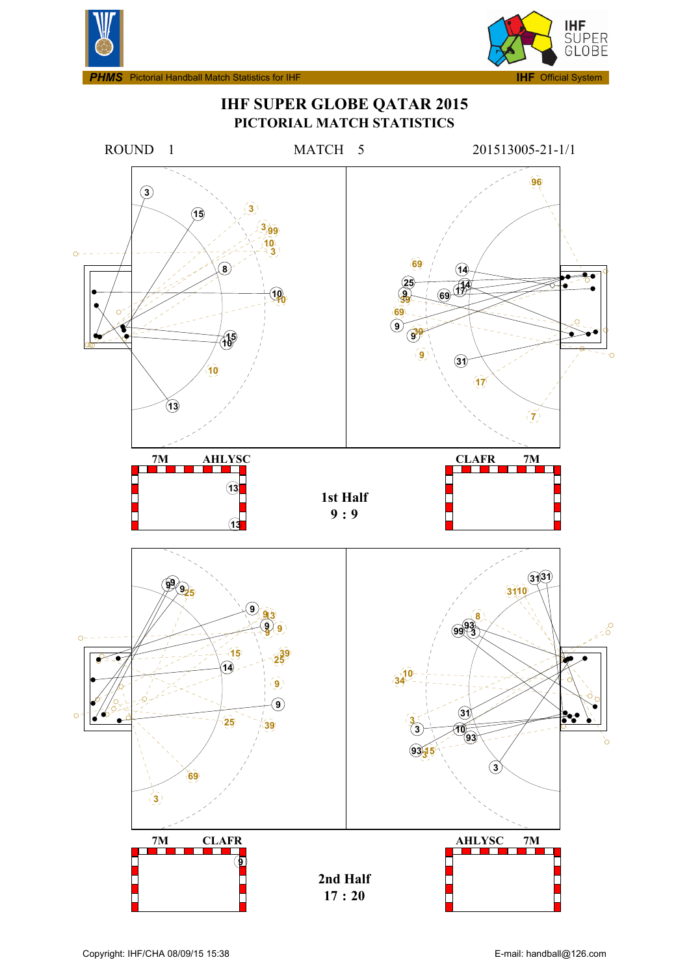



**IHF SUPER GLOBE QATAR 2015 PICTORIAL MATCH STATISTICS**

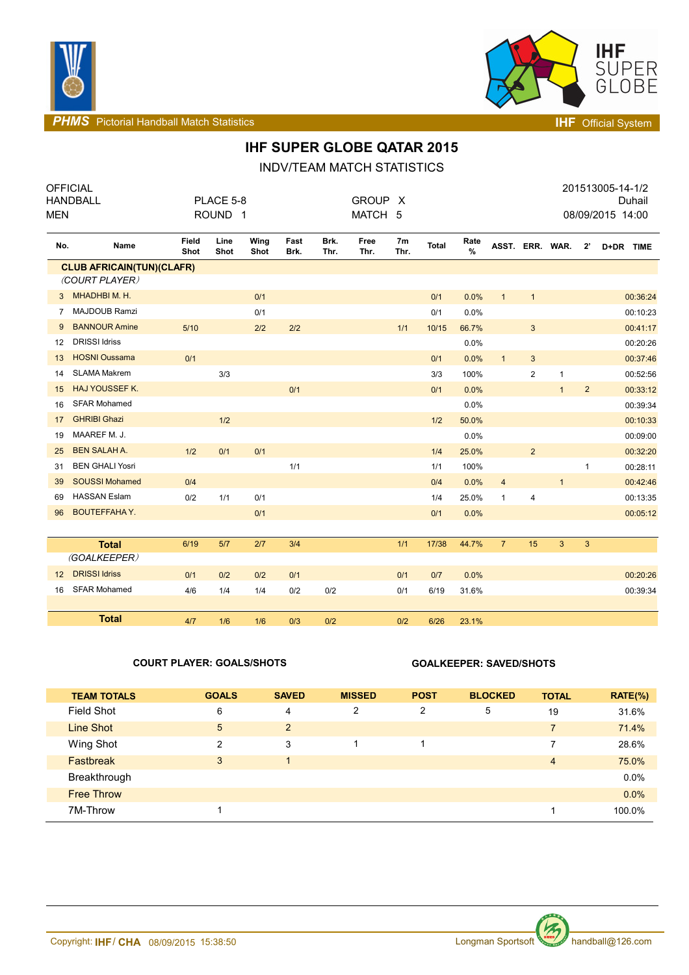



**PHMS** Pictorial Handball Match Statistics **INF** Official System

# **IHF SUPER GLOBE QATAR 2015**

## INDV/TEAM MATCH STATISTICS

| <b>MEN</b>     | <b>OFFICIAL</b><br><b>HANDBALL</b>                 |               | PLACE 5-8<br>ROUND <sub>1</sub> |              |              |              | <b>GROUP</b><br>MATCH 5 | X          |       |           |                 |                |              |                | 201513005-14-1/2<br>08/09/2015 14:00 | Duhail   |
|----------------|----------------------------------------------------|---------------|---------------------------------|--------------|--------------|--------------|-------------------------|------------|-------|-----------|-----------------|----------------|--------------|----------------|--------------------------------------|----------|
| No.            | Name                                               | Field<br>Shot | Line<br>Shot                    | Wing<br>Shot | Fast<br>Brk. | Brk.<br>Thr. | Free<br>Thr.            | 7m<br>Thr. | Total | Rate<br>% | ASST. ERR. WAR. |                |              | $2^{\prime}$   | D+DR TIME                            |          |
|                | <b>CLUB AFRICAIN(TUN)(CLAFR)</b><br>(COURT PLAYER) |               |                                 |              |              |              |                         |            |       |           |                 |                |              |                |                                      |          |
| 3              | MHADHBIM.H.                                        |               |                                 | 0/1          |              |              |                         |            | 0/1   | 0.0%      | $\mathbf{1}$    | $\mathbf{1}$   |              |                |                                      | 00:36:24 |
| $\overline{7}$ | <b>MAJDOUB Ramzi</b>                               |               |                                 | 0/1          |              |              |                         |            | 0/1   | 0.0%      |                 |                |              |                |                                      | 00:10:23 |
| 9              | <b>BANNOUR Amine</b>                               | 5/10          |                                 | 2/2          | 2/2          |              |                         | 1/1        | 10/15 | 66.7%     |                 | $\mathbf{3}$   |              |                |                                      | 00:41:17 |
| 12             | <b>DRISSI Idriss</b>                               |               |                                 |              |              |              |                         |            |       | 0.0%      |                 |                |              |                |                                      | 00:20:26 |
| 13             | <b>HOSNI Oussama</b>                               | 0/1           |                                 |              |              |              |                         |            | 0/1   | 0.0%      | $\mathbf{1}$    | $\mathbf{3}$   |              |                |                                      | 00:37:46 |
| 14             | <b>SLAMA Makrem</b>                                |               | 3/3                             |              |              |              |                         |            | 3/3   | 100%      |                 | $\mathbf{2}$   | $\mathbf{1}$ |                |                                      | 00:52:56 |
| 15             | <b>HAJ YOUSSEF K.</b>                              |               |                                 |              | 0/1          |              |                         |            | 0/1   | 0.0%      |                 |                | $\mathbf{1}$ | $\overline{2}$ |                                      | 00:33:12 |
| 16             | <b>SFAR Mohamed</b>                                |               |                                 |              |              |              |                         |            |       | 0.0%      |                 |                |              |                |                                      | 00:39:34 |
| 17             | <b>GHRIBI Ghazi</b>                                |               | 1/2                             |              |              |              |                         |            | 1/2   | 50.0%     |                 |                |              |                |                                      | 00:10:33 |
| 19             | MAAREF M. J.                                       |               |                                 |              |              |              |                         |            |       | 0.0%      |                 |                |              |                |                                      | 00:09:00 |
| 25             | <b>BEN SALAH A.</b>                                | 1/2           | 0/1                             | 0/1          |              |              |                         |            | 1/4   | 25.0%     |                 | $\overline{2}$ |              |                |                                      | 00:32:20 |
| 31             | <b>BEN GHALI Yosri</b>                             |               |                                 |              | 1/1          |              |                         |            | 1/1   | 100%      |                 |                |              | $\mathbf{1}$   |                                      | 00:28:11 |
| 39             | <b>SOUSSI Mohamed</b>                              | 0/4           |                                 |              |              |              |                         |            | 0/4   | 0.0%      | $\overline{4}$  |                | $\mathbf{1}$ |                |                                      | 00:42:46 |
| 69             | <b>HASSAN Eslam</b>                                | 0/2           | 1/1                             | 0/1          |              |              |                         |            | 1/4   | 25.0%     | $\mathbf{1}$    | 4              |              |                |                                      | 00:13:35 |
| 96             | <b>BOUTEFFAHAY.</b>                                |               |                                 | 0/1          |              |              |                         |            | 0/1   | 0.0%      |                 |                |              |                |                                      | 00:05:12 |
|                |                                                    |               |                                 |              |              |              |                         |            |       |           |                 |                |              |                |                                      |          |
|                | <b>Total</b>                                       | 6/19          | 5/7                             | 2/7          | 3/4          |              |                         | 1/1        | 17/38 | 44.7%     | $\overline{7}$  | 15             | 3            | $\mathbf{3}$   |                                      |          |
|                | (GOALKEEPER)                                       |               |                                 |              |              |              |                         |            |       |           |                 |                |              |                |                                      |          |
| 12             | <b>DRISSI Idriss</b>                               | 0/1           | 0/2                             | 0/2          | 0/1          |              |                         | 0/1        | 0/7   | 0.0%      |                 |                |              |                |                                      | 00:20:26 |
| 16             | <b>SFAR Mohamed</b>                                | 4/6           | 1/4                             | 1/4          | 0/2          | 0/2          |                         | 0/1        | 6/19  | 31.6%     |                 |                |              |                |                                      | 00:39:34 |
|                |                                                    |               |                                 |              |              |              |                         |            |       |           |                 |                |              |                |                                      |          |
|                | <b>Total</b>                                       | 4/7           | 1/6                             | 1/6          | 0/3          | 0/2          |                         | 0/2        | 6/26  | 23.1%     |                 |                |              |                |                                      |          |

## **COURT PLAYER: GOALS/SHOTS GOALKEEPER: SAVED/SHOTS**

| <b>TEAM TOTALS</b> | <b>GOALS</b> | <b>SAVED</b>   | <b>MISSED</b> | <b>POST</b>    | <b>BLOCKED</b> | <b>TOTAL</b>   | $RATE(\%)$ |
|--------------------|--------------|----------------|---------------|----------------|----------------|----------------|------------|
| <b>Field Shot</b>  | 6            | 4              | 2             | $\overline{2}$ | 5              | 19             | 31.6%      |
| Line Shot          | 5            | $\overline{2}$ |               |                |                | $\overline{7}$ | 71.4%      |
| Wing Shot          | 2            | 3              |               |                |                | 7              | 28.6%      |
| <b>Fastbreak</b>   | 3            |                |               |                |                | $\overline{4}$ | 75.0%      |
| Breakthrough       |              |                |               |                |                |                | 0.0%       |
| <b>Free Throw</b>  |              |                |               |                |                |                | 0.0%       |
| 7M-Throw           |              |                |               |                |                |                | 100.0%     |

 $\frac{1}{2}$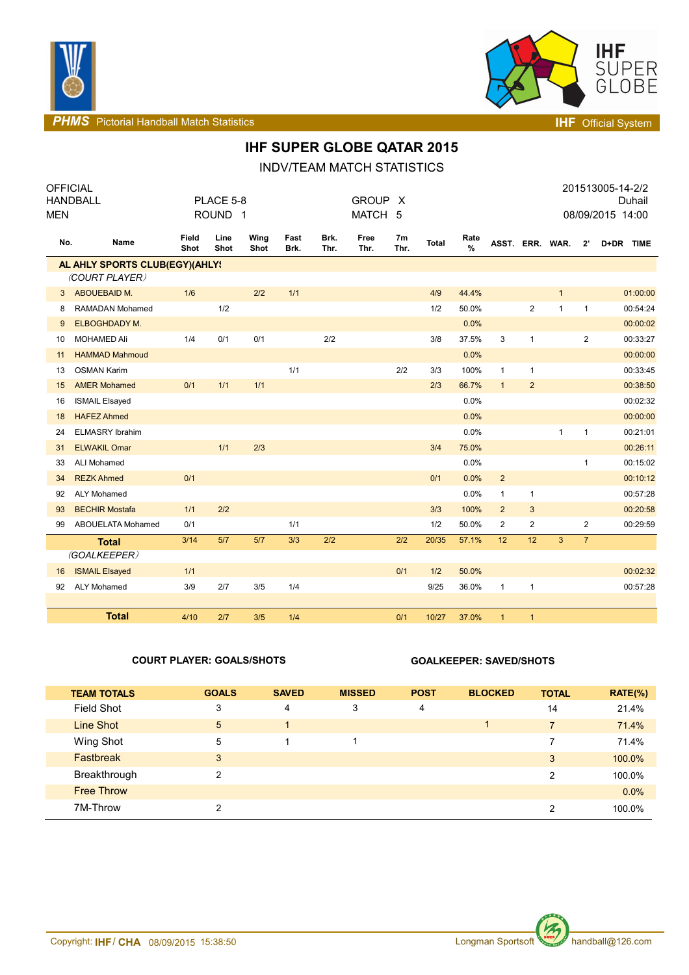



**PHMS** Pictorial Handball Match Statistics **Intervalse and Contract Contract Contract Contract Contract Contract Contract Contract Contract Contract Contract Contract Contract Contract Contract Contract Contract Contract C** 

# **IHF SUPER GLOBE QATAR 2015**

## INDV/TEAM MATCH STATISTICS

| <b>OFFICIAL</b><br><b>HANDBALL</b><br><b>MEN</b> |                                | PLACE 5-8<br>ROUND <sub>1</sub> |              |              |              | <b>GROUP</b><br>$\mathsf{X}$<br>MATCH 5 |              |                        | 201513005-14-2/2<br>Duhail<br>08/09/2015 14:00 |                       |                |                 |              |                |           |
|--------------------------------------------------|--------------------------------|---------------------------------|--------------|--------------|--------------|-----------------------------------------|--------------|------------------------|------------------------------------------------|-----------------------|----------------|-----------------|--------------|----------------|-----------|
| No.                                              | Name                           | <b>Field</b><br>Shot            | Line<br>Shot | Wing<br>Shot | Fast<br>Brk. | Brk.<br>Thr.                            | Free<br>Thr. | 7 <sub>m</sub><br>Thr. | <b>Total</b>                                   | Rate<br>$\frac{9}{6}$ |                | ASST. ERR. WAR. |              | $2^{\circ}$    | D+DR TIME |
|                                                  | AL AHLY SPORTS CLUB(EGY)(AHLY! |                                 |              |              |              |                                         |              |                        |                                                |                       |                |                 |              |                |           |
|                                                  | (COURT PLAYER)                 |                                 |              |              |              |                                         |              |                        |                                                |                       |                |                 |              |                |           |
| 3                                                | ABOUEBAID M.                   | 1/6                             |              | 2/2          | 1/1          |                                         |              |                        | 4/9                                            | 44.4%                 |                |                 | $\mathbf{1}$ |                | 01:00:00  |
| 8                                                | RAMADAN Mohamed                |                                 | 1/2          |              |              |                                         |              |                        | 1/2                                            | 50.0%                 |                | $\mathbf{2}$    | $\mathbf{1}$ | $\mathbf{1}$   | 00:54:24  |
| 9                                                | ELBOGHDADY M.                  |                                 |              |              |              |                                         |              |                        |                                                | 0.0%                  |                |                 |              |                | 00:00:02  |
| 10                                               | <b>MOHAMED Ali</b>             | 1/4                             | 0/1          | 0/1          |              | 2/2                                     |              |                        | 3/8                                            | 37.5%                 | 3              | $\mathbf{1}$    |              | $\overline{2}$ | 00:33:27  |
| 11                                               | <b>HAMMAD Mahmoud</b>          |                                 |              |              |              |                                         |              |                        |                                                | 0.0%                  |                |                 |              |                | 00:00:00  |
| 13                                               | <b>OSMAN Karim</b>             |                                 |              |              | 1/1          |                                         |              | 2/2                    | 3/3                                            | 100%                  | $\mathbf{1}$   | $\mathbf{1}$    |              |                | 00:33:45  |
| 15                                               | <b>AMER Mohamed</b>            | 0/1                             | 1/1          | 1/1          |              |                                         |              |                        | 2/3                                            | 66.7%                 | $\mathbf{1}$   | $\overline{2}$  |              |                | 00:38:50  |
| 16                                               | <b>ISMAIL Elsayed</b>          |                                 |              |              |              |                                         |              |                        |                                                | 0.0%                  |                |                 |              |                | 00:02:32  |
| 18                                               | <b>HAFEZ Ahmed</b>             |                                 |              |              |              |                                         |              |                        |                                                | 0.0%                  |                |                 |              |                | 00:00:00  |
| 24                                               | <b>ELMASRY Ibrahim</b>         |                                 |              |              |              |                                         |              |                        |                                                | 0.0%                  |                |                 | $\mathbf{1}$ | $\mathbf{1}$   | 00:21:01  |
| 31                                               | <b>ELWAKIL Omar</b>            |                                 | 1/1          | 2/3          |              |                                         |              |                        | 3/4                                            | 75.0%                 |                |                 |              |                | 00:26:11  |
| 33                                               | <b>ALI Mohamed</b>             |                                 |              |              |              |                                         |              |                        |                                                | 0.0%                  |                |                 |              | 1              | 00:15:02  |
| 34                                               | <b>REZK Ahmed</b>              | 0/1                             |              |              |              |                                         |              |                        | 0/1                                            | 0.0%                  | $\overline{2}$ |                 |              |                | 00:10:12  |
| 92                                               | <b>ALY Mohamed</b>             |                                 |              |              |              |                                         |              |                        |                                                | 0.0%                  | 1              | $\mathbf{1}$    |              |                | 00:57:28  |
| 93                                               | <b>BECHIR Mostafa</b>          | 1/1                             | 2/2          |              |              |                                         |              |                        | 3/3                                            | 100%                  | $\overline{2}$ | 3               |              |                | 00:20:58  |
| 99                                               | ABOUELATA Mohamed              | 0/1                             |              |              | 1/1          |                                         |              |                        | 1/2                                            | 50.0%                 | $\overline{2}$ | $\overline{c}$  |              | $\overline{2}$ | 00:29:59  |
|                                                  | <b>Total</b>                   | 3/14                            | 5/7          | 5/7          | 3/3          | 2/2                                     |              | 2/2                    | 20/35                                          | 57.1%                 | 12             | 12              | 3            | $\overline{7}$ |           |
|                                                  | (GOALKEEPER)                   |                                 |              |              |              |                                         |              |                        |                                                |                       |                |                 |              |                |           |
| 16                                               | <b>ISMAIL Elsayed</b>          | 1/1                             |              |              |              |                                         |              | 0/1                    | 1/2                                            | 50.0%                 |                |                 |              |                | 00:02:32  |
| 92                                               | <b>ALY Mohamed</b>             | 3/9                             | 2/7          | 3/5          | 1/4          |                                         |              |                        | 9/25                                           | 36.0%                 | $\mathbf{1}$   | $\mathbf{1}$    |              |                | 00:57:28  |
|                                                  |                                |                                 |              |              |              |                                         |              |                        |                                                |                       |                |                 |              |                |           |
|                                                  | <b>Total</b>                   | 4/10                            | 2/7          | 3/5          | 1/4          |                                         |              | 0/1                    | 10/27                                          | 37.0%                 | $\mathbf{1}$   | $\mathbf{1}$    |              |                |           |

### **COURT PLAYER: GOALS/SHOTS GOALKEEPER: SAVED/SHOTS**

| <b>TEAM TOTALS</b> | <b>GOALS</b>   | <b>SAVED</b> | <b>MISSED</b> | <b>POST</b> | <b>BLOCKED</b> | <b>TOTAL</b>   | $RATE(\% )$ |
|--------------------|----------------|--------------|---------------|-------------|----------------|----------------|-------------|
| Field Shot         | 3              | 4            | 3             | 4           |                | 14             | 21.4%       |
| Line Shot          | 5              | ٠            |               |             | 1              | $\overline{7}$ | 71.4%       |
| Wing Shot          | 5              |              |               |             |                | 7              | 71.4%       |
| Fastbreak          | 3              |              |               |             |                | 3              | 100.0%      |
| Breakthrough       | $\mathfrak{p}$ |              |               |             |                | $\overline{2}$ | 100.0%      |
| <b>Free Throw</b>  |                |              |               |             |                |                | $0.0\%$     |
| 7M-Throw           | $\mathcal{P}$  |              |               |             |                | 2              | 100.0%      |